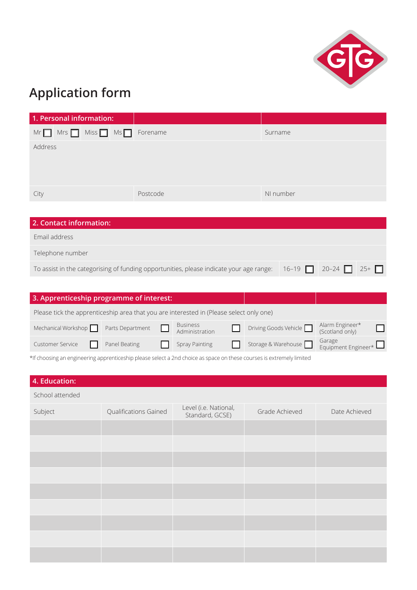

## **Application form**

| 1. Personal information:                                                                                                               |                  |                 |  |                       |                               |  |
|----------------------------------------------------------------------------------------------------------------------------------------|------------------|-----------------|--|-----------------------|-------------------------------|--|
| $Mrs$ $\Box$ Miss $\Box$ Ms $\Box$<br>$Mr$ $\Box$                                                                                      | Forename         |                 |  | Surname               |                               |  |
| Address                                                                                                                                |                  |                 |  |                       |                               |  |
|                                                                                                                                        |                  |                 |  |                       |                               |  |
|                                                                                                                                        |                  |                 |  |                       |                               |  |
|                                                                                                                                        |                  |                 |  |                       |                               |  |
| City                                                                                                                                   | Postcode         |                 |  | NI number             |                               |  |
|                                                                                                                                        |                  |                 |  |                       |                               |  |
| 2. Contact information:                                                                                                                |                  |                 |  |                       |                               |  |
| Email address                                                                                                                          |                  |                 |  |                       |                               |  |
| Telephone number                                                                                                                       |                  |                 |  |                       |                               |  |
| To assist in the categorising of funding opportunities, please indicate your age range:<br>$20 - 24$<br>$16 - 19$<br>$25+$ $\Box$<br>П |                  |                 |  |                       |                               |  |
|                                                                                                                                        |                  |                 |  |                       |                               |  |
| 3. Apprenticeship programme of interest:                                                                                               |                  |                 |  |                       |                               |  |
| Please tick the apprenticeship area that you are interested in (Please select only one)                                                |                  |                 |  |                       |                               |  |
|                                                                                                                                        |                  | <b>Business</b> |  |                       | Alarm Engineer*               |  |
| Mechanical Workshop                                                                                                                    | Parts Department | Administration  |  | Driving Goods Vehicle | (Scotland only)               |  |
| <b>Customer Service</b>                                                                                                                | Panel Beating    | Spray Painting  |  | Storage & Warehouse   | Garage<br>Equipment Engineer* |  |
| *If choosing an engineering apprenticeship please select a 2nd choice as space on these courses is extremely limited                   |                  |                 |  |                       |                               |  |
|                                                                                                                                        |                  |                 |  |                       |                               |  |
| 4. Education:                                                                                                                          |                  |                 |  |                       |                               |  |

| 1.1             |                       |                                          |                |               |
|-----------------|-----------------------|------------------------------------------|----------------|---------------|
| School attended |                       |                                          |                |               |
| Subject         | Qualifications Gained | Level (i.e. National,<br>Standard, GCSE) | Grade Achieved | Date Achieved |
|                 |                       |                                          |                |               |
|                 |                       |                                          |                |               |
|                 |                       |                                          |                |               |
|                 |                       |                                          |                |               |
|                 |                       |                                          |                |               |
|                 |                       |                                          |                |               |
|                 |                       |                                          |                |               |
|                 |                       |                                          |                |               |
|                 |                       |                                          |                |               |